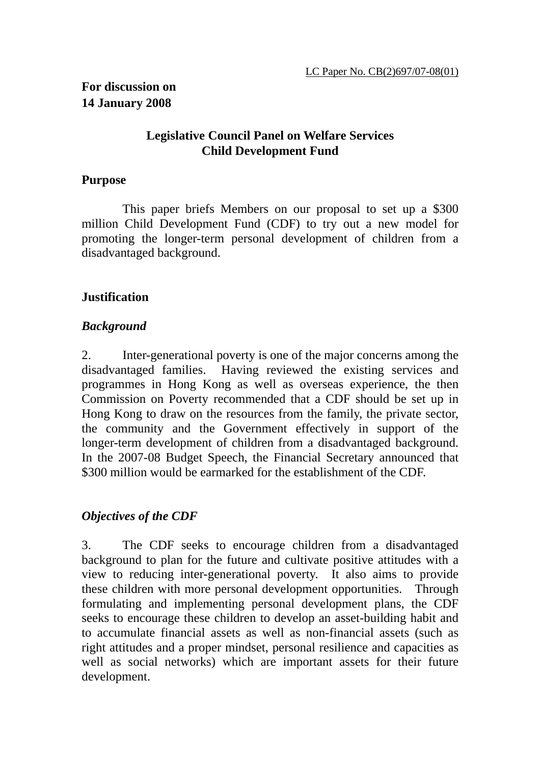#### **Legislative Council Panel on Welfare Services Child Development Fund**

#### **Purpose**

 This paper briefs Members on our proposal to set up a \$300 million Child Development Fund (CDF) to try out a new model for promoting the longer-term personal development of children from a disadvantaged background.

#### **Justification**

#### *Background*

2. Inter-generational poverty is one of the major concerns among the disadvantaged families. Having reviewed the existing services and programmes in Hong Kong as well as overseas experience, the then Commission on Poverty recommended that a CDF should be set up in Hong Kong to draw on the resources from the family, the private sector, the community and the Government effectively in support of the longer-term development of children from a disadvantaged background. In the 2007-08 Budget Speech, the Financial Secretary announced that \$300 million would be earmarked for the establishment of the CDF.

## *Objectives of the CDF*

3. The CDF seeks to encourage children from a disadvantaged background to plan for the future and cultivate positive attitudes with a view to reducing inter-generational poverty. It also aims to provide these children with more personal development opportunities. Through formulating and implementing personal development plans, the CDF seeks to encourage these children to develop an asset-building habit and to accumulate financial assets as well as non-financial assets (such as right attitudes and a proper mindset, personal resilience and capacities as well as social networks) which are important assets for their future development.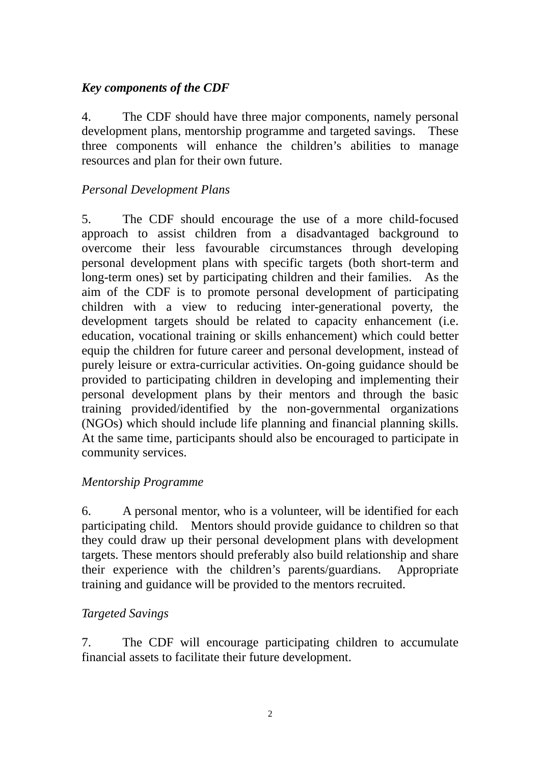#### *Key components of the CDF*

4. The CDF should have three major components, namely personal development plans, mentorship programme and targeted savings. These three components will enhance the children's abilities to manage resources and plan for their own future.

## *Personal Development Plans*

5. The CDF should encourage the use of a more child-focused approach to assist children from a disadvantaged background to overcome their less favourable circumstances through developing personal development plans with specific targets (both short-term and long-term ones) set by participating children and their families. As the aim of the CDF is to promote personal development of participating children with a view to reducing inter-generational poverty, the development targets should be related to capacity enhancement (i.e. education, vocational training or skills enhancement) which could better equip the children for future career and personal development, instead of purely leisure or extra-curricular activities. On-going guidance should be provided to participating children in developing and implementing their personal development plans by their mentors and through the basic training provided/identified by the non-governmental organizations (NGOs) which should include life planning and financial planning skills. At the same time, participants should also be encouraged to participate in community services.

## *Mentorship Programme*

6. A personal mentor, who is a volunteer, will be identified for each participating child. Mentors should provide guidance to children so that they could draw up their personal development plans with development targets. These mentors should preferably also build relationship and share their experience with the children's parents/guardians. Appropriate training and guidance will be provided to the mentors recruited.

## *Targeted Savings*

7. The CDF will encourage participating children to accumulate financial assets to facilitate their future development.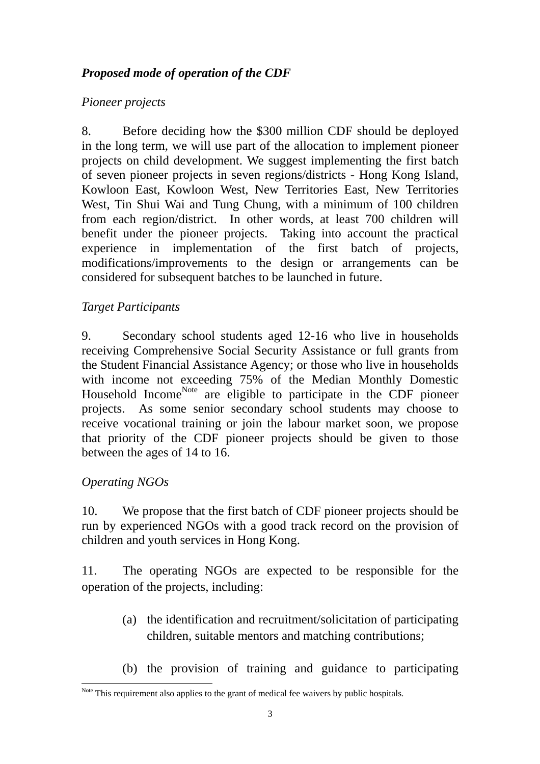## *Proposed mode of operation of the CDF*

## *Pioneer projects*

8. Before deciding how the \$300 million CDF should be deployed in the long term, we will use part of the allocation to implement pioneer projects on child development. We suggest implementing the first batch of seven pioneer projects in seven regions/districts - Hong Kong Island, Kowloon East, Kowloon West, New Territories East, New Territories West, Tin Shui Wai and Tung Chung, with a minimum of 100 children from each region/district. In other words, at least 700 children will benefit under the pioneer projects. Taking into account the practical experience in implementation of the first batch of projects, modifications/improvements to the design or arrangements can be considered for subsequent batches to be launched in future.

## *Target Participants*

9. Secondary school students aged 12-16 who live in households receiving Comprehensive Social Security Assistance or full grants from the Student Financial Assistance Agency; or those who live in households with income not exceeding 75% of the Median Monthly Domestic Household Income<sup>Note</sup> are eligible to participate in the CDF pioneer projects. As some senior secondary school students may choose to receive vocational training or join the labour market soon, we propose that priority of the CDF pioneer projects should be given to those between the ages of 14 to 16.

## *Operating NGOs*

10. We propose that the first batch of CDF pioneer projects should be run by experienced NGOs with a good track record on the provision of children and youth services in Hong Kong.

11. The operating NGOs are expected to be responsible for the operation of the projects, including:

- (a) the identification and recruitment/solicitation of participating children, suitable mentors and matching contributions;
- (b) the provision of training and guidance to participating

 $\overline{a}$ Note This requirement also applies to the grant of medical fee waivers by public hospitals.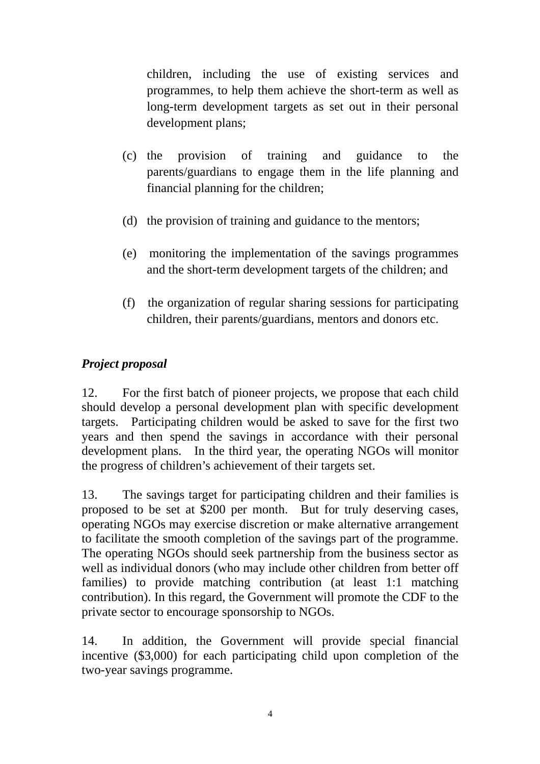children, including the use of existing services and programmes, to help them achieve the short-term as well as long-term development targets as set out in their personal development plans;

- (c) the provision of training and guidance to the parents/guardians to engage them in the life planning and financial planning for the children;
- (d) the provision of training and guidance to the mentors;
- (e) monitoring the implementation of the savings programmes and the short-term development targets of the children; and
- (f) the organization of regular sharing sessions for participating children, their parents/guardians, mentors and donors etc.

## *Project proposal*

12. For the first batch of pioneer projects, we propose that each child should develop a personal development plan with specific development targets. Participating children would be asked to save for the first two years and then spend the savings in accordance with their personal development plans. In the third year, the operating NGOs will monitor the progress of children's achievement of their targets set.

13. The savings target for participating children and their families is proposed to be set at \$200 per month. But for truly deserving cases, operating NGOs may exercise discretion or make alternative arrangement to facilitate the smooth completion of the savings part of the programme. The operating NGOs should seek partnership from the business sector as well as individual donors (who may include other children from better off families) to provide matching contribution (at least 1:1 matching contribution). In this regard, the Government will promote the CDF to the private sector to encourage sponsorship to NGOs.

14. In addition, the Government will provide special financial incentive (\$3,000) for each participating child upon completion of the two-year savings programme.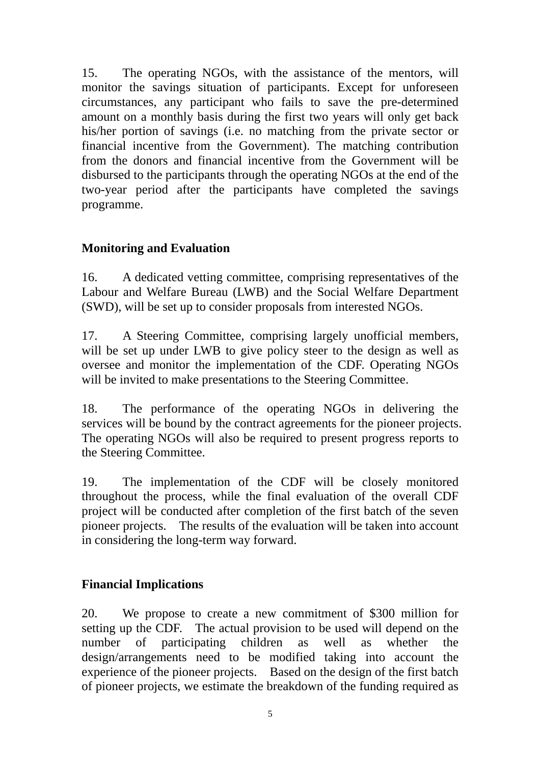15. The operating NGOs, with the assistance of the mentors, will monitor the savings situation of participants. Except for unforeseen circumstances, any participant who fails to save the pre-determined amount on a monthly basis during the first two years will only get back his/her portion of savings (i.e. no matching from the private sector or financial incentive from the Government). The matching contribution from the donors and financial incentive from the Government will be disbursed to the participants through the operating NGOs at the end of the two-year period after the participants have completed the savings programme.

## **Monitoring and Evaluation**

16. A dedicated vetting committee, comprising representatives of the Labour and Welfare Bureau (LWB) and the Social Welfare Department (SWD), will be set up to consider proposals from interested NGOs.

17. A Steering Committee, comprising largely unofficial members, will be set up under LWB to give policy steer to the design as well as oversee and monitor the implementation of the CDF. Operating NGOs will be invited to make presentations to the Steering Committee.

18. The performance of the operating NGOs in delivering the services will be bound by the contract agreements for the pioneer projects. The operating NGOs will also be required to present progress reports to the Steering Committee.

19. The implementation of the CDF will be closely monitored throughout the process, while the final evaluation of the overall CDF project will be conducted after completion of the first batch of the seven pioneer projects. The results of the evaluation will be taken into account in considering the long-term way forward.

# **Financial Implications**

20. We propose to create a new commitment of \$300 million for setting up the CDF. The actual provision to be used will depend on the number of participating children as well as whether the design/arrangements need to be modified taking into account the experience of the pioneer projects. Based on the design of the first batch of pioneer projects, we estimate the breakdown of the funding required as